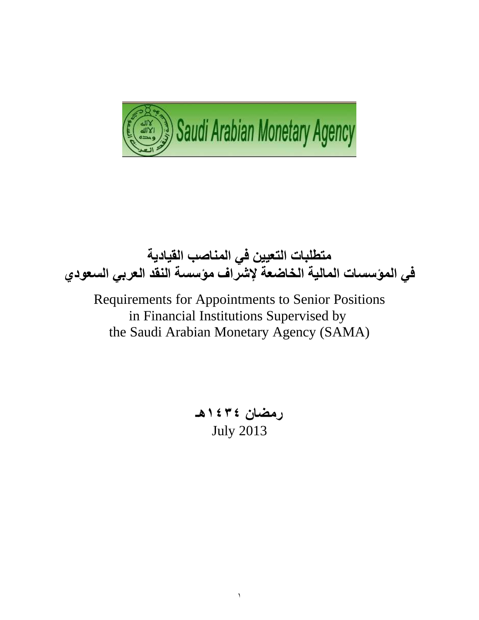



Requirements for Appointments to Senior Positions in Financial Institutions Supervised by the Saudi Arabian Monetary Agency (SAMA)

> **رمضان 4141هـ** July 2013

> > 1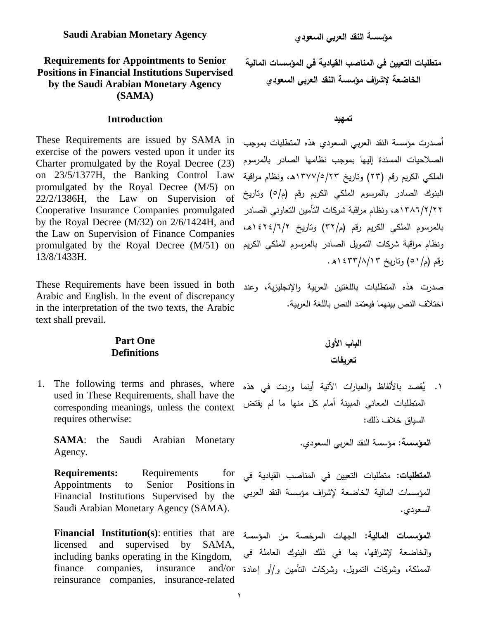#### **Requirements for Appointments to Senior Positions in Financial Institutions Supervised by the Saudi Arabian Monetary Agency (SAMA)**

#### **تمهيد Introduction**

These Requirements are issued by SAMA in exercise of the powers vested upon it under its Charter promulgated by the Royal Decree (23) on 23/5/1377H, the Banking Control Law promulgated by the Royal Decree (M/5) on 22/2/1386H, the Law on Supervision of Cooperative Insurance Companies promulgated by the Royal Decree (M/32) on 2/6/1424H, and the Law on Supervision of Finance Companies promulgated by the Royal Decree (M/51) on 13/8/1433H.

These Requirements have been issued in both Arabic and English. In the event of discrepancy in the interpretation of the two texts, the Arabic text shall prevail.

#### **Part One Definitions**

1. The following terms and phrases, where used in These Requirements, shall have the corresponding meanings, unless the context requires otherwise:

**SAMA:** the Saudi Arabian Monetary Agency.

**Requirements:** Requirements for Appointments to Senior Positions in Financial Institutions Supervised by the Saudi Arabian Monetary Agency (SAMA).

**Financial Institution(s)**: entities that are licensed and supervised by SAMA, including banks operating in the Kingdom, finance companies, insurance reinsurance companies, insurance-related **متطمبات التعيين في المناصب القيادية في المؤسسات المالية الخاضعة إلشراف مؤسسة النقد العربي السعودي**

أصدرت مؤسسة النقد العربي السعودي هذه المتطلبات بموجب الصلاحيات المسندة إليها بموجب نظامها الصادر بالمرسوم الملكي الكريم رقم (٢٣) وتاريخ ١٣٧٧/٥/٢٣هـ، ونظام مراقبة البنوك الصادر بالمرسوم الملكي الكريم رقم (م/٥) وتاريخ 158/1781هـ، ونظام مراقبة شركات التأمين التعاوني الصادر بالمرسوم الملكى الكريم رقم (م/٣٢) وتاريخ ١٤٢٤/٦/٢ ه، ونظام مراقبة شركات التمويل الصادر بالمرسوم الملكي الكريم رقم (م/٥١) وتاريخ ٤٣٣/٨/١٣ ١ه.

صدرت هذه المتطلبات باللغتين العربية والإنجليزية، وعند اختلاف النص ببنهما فبعتمد النص باللغة العربية.

## **الباب األول تعر يفات**

١. يُقصد بالألفاظ والعبارات الآتية أينما وردت في هذه المتطلبات المعاني المبينة أمام كل منها ما لم يقتض السياق خلاف ذلك:

ا**لمؤسسة:** مؤسسة النقد العربي السعودي.

ا**لمتطلبات:** متطلبات التعيين في المناصب القيادية في المؤسسات المالية الخاضعة لإشراف مؤسسة النقد العربي السعودي.

**المؤسسات المالية**: الجيات المرخصة مف المؤسسة والخاضعة لإشرافها، بما في ذلك البنوك العاملة في المملكة، وشركات التمويل، وشركات التأمين و/أو إعادة and/or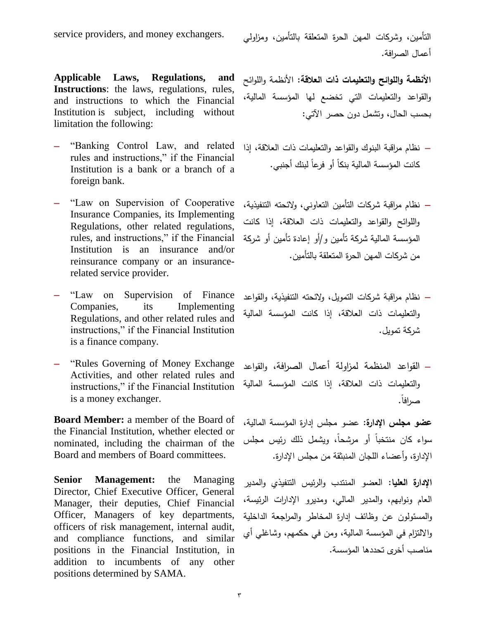service providers, and money exchangers.

**Applicable Laws, Regulations, and Instructions**: the laws, regulations, rules, and instructions to which the Financial Institution is subject, including without limitation the following:

- "Banking Control Law, and related rules and instructions," if the Financial Institution is a bank or a branch of a foreign bank.
- "Law on Supervision of Cooperative Insurance Companies, its Implementing Regulations, other related regulations, rules, and instructions," if the Financial Institution is an insurance and/or reinsurance company or an insurancerelated service provider.
- "Law on Supervision of Finance Companies, its Implementing Regulations, and other related rules and instructions," if the Financial Institution is a finance company.
- "Rules Governing of Money Exchange" Activities, and other related rules and instructions," if the Financial Institution is a money exchanger.

**Board Member:** a member of the Board of the Financial Institution, whether elected or nominated, including the chairman of the Board and members of Board committees.

**Senior Management:** the Managing Director, Chief Executive Officer, General Manager, their deputies, Chief Financial Officer, Managers of key departments, officers of risk management, internal audit, and compliance functions, and similar positions in the Financial Institution, in addition to incumbents of any other positions determined by SAMA.

التأمين، وشركات المهن الحرة المتعلقة بالتأمين، ومزاولي أعمال الصرافة.

ا**لأنظمة واللوائح والتعليمات ذات العلاقة:** الأنظمة واللوائح كالقكاعد كالتعميمات التي تخضع ليا المؤسسة المالية، بحسب الحال، وتشمل دون حصر الآتي:

- نظام مراقبة البنوك والقواعد والتعليمات ذات العلاقة، إذا كانت المؤسسة المالية بنكاً أو فرعاً لبنك أجنبي.
- نظاـ مراقبة شركات التأميف التعاكني، كالئحتو التنفيذية، واللوائح والقواعد والتعليمات ذات العلاقة، إذا كانت المؤسسة المالية شركة تأمين و/أو إعادة تأمين أو شركة من شركات المهن الحرة المتعلقة بالتأمين.
- نظام مراقبة شركات التمويل، ولائحته التتفيذية، والقواعد كالتعميمات ذات العالقة، إذا كانت المؤسسة المالية شركة تمويل.
- القواعد المنظمة لمزاولة أعمال الصرافة، والقواعد كالتعميمات ذات العالقة، إذا كانت المؤسسة المالية صرافاً.

**عضو مجمس اإلدارة**: عضك مجمس إدارة المؤسسة المالية، سواء كان منتخباً أو مرشحاً، وبشمل ذلك رئيس مجلس الإدارة، وأعضاء اللجان المنبثقة من مجلس الإدارة.

الإدارة العليا: العضو المنتدب والرئيس التنفيذي والمدير العام ونوابهم، والمدير المالي، ومديرو الإدارات الرئيسة، والمسئولون عن وظائف إدارة المخاطر والمراجعة الداخلية والالتزام في المؤسسة المالية، ومن في حكمهم، وشاغلي أي مناصب أخرى تحددها المؤسسة.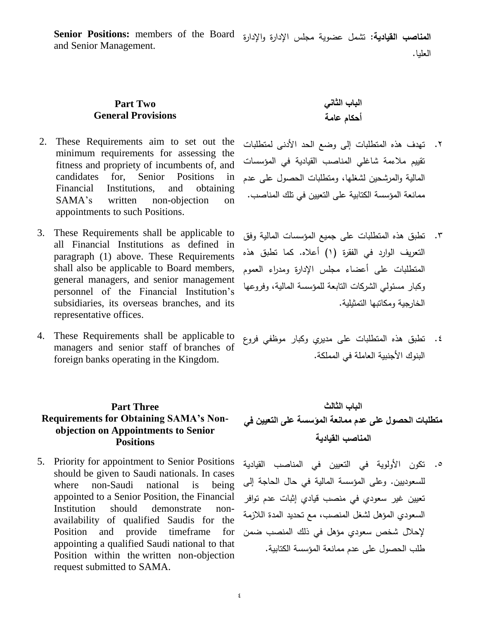ا**لمناصب القيادية:** تشمل عضوية مجلس الإدارة والإدارة S**enior Positions:** members of the Board العميا. and Senior Management.

### **Part Two General Provisions**

- 2. These Requirements aim to set out the minimum requirements for assessing the fitness and propriety of incumbents of, and candidates for, Senior Positions in Financial Institutions, and obtaining SAMA's written non-objection on appointments to such Positions.
- 3. These Requirements shall be applicable to all Financial Institutions as defined in paragraph (1) above. These Requirements shall also be applicable to Board members, general managers, and senior management personnel of the Financial Institution's subsidiaries, its overseas branches, and its representative offices.
- 4. These Requirements shall be applicable to managers and senior staff of branches of foreign banks operating in the Kingdom.

#### **Part Three Requirements for Obtaining SAMA's Nonobjection on Appointments to Senior Positions**

5. Priority for appointment to Senior Positions should be given to Saudi nationals. In cases where non-Saudi national is being appointed to a Senior Position, the Financial Institution should demonstrate nonavailability of qualified Saudis for the Position and provide timeframe for appointing a qualified Saudi national to that Position within the written non-objection request submitted to SAMA.

**الباب الثاني أحكام عامة**

- ٢. تهدف هذه المتطلبات إلى وضع الحد الأدنى لمتطلبات تقييـ مالءمة شاغمي المناصب القيادية في المؤسسات المالية والمرشحين لشغلها، ومتطلبات الحصول على عدم ممانعة المؤسسة الكتابية على التعيين في تلك المناصب.
- ٣. تطبق هذه المتطلبات على جميع المؤسسات المالية وفق التعريف الوارد في الفقرة (١) أعلاه. كما تطبق هذه المتطلبات على أعضاء مجلس الإدارة ومدراء العموم وكبار مسئولي الشركات التابعة للمؤسسة المالية، وفروعها الخارجية ومكاتبها التمثيلية.
- ٤. تطبق هذه المتطلبات على مديرى وكبار موظفى فروع البنوك الأجنبية العاملة في المملكة.

**الباب الثالث متطلبات الحصول على عدم ممانعة المؤسسة على التعيين في المناصب القيادية**

0. تكون الأولوية في التعيين في المناصب القيادية للسعوديين. وعلى المؤسسة المالية في حال الحاجة إلى تعيين غير سعودي في منصب قيادي إثبات عدم توافر السعودي المؤهل لشغل المنصب، مع تحديد المدة اللازمة لإحلال شخص سعودي مؤهل في ذلك المنصب ضمن طلب الحصول على عدم ممانعة المؤسسة الكتابية.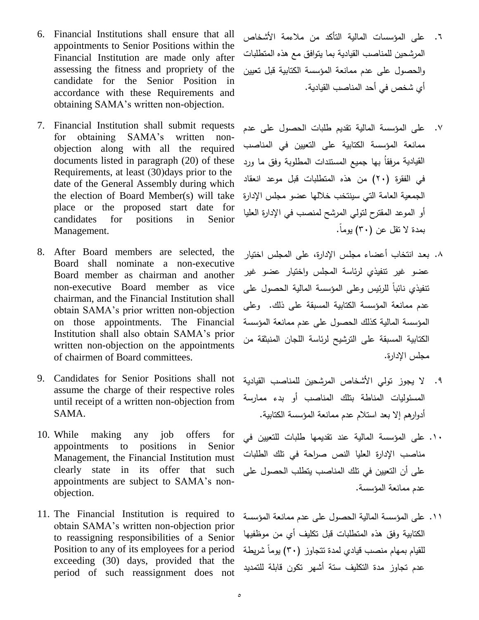- 6. Financial Institutions shall ensure that all appointments to Senior Positions within the Financial Institution are made only after assessing the fitness and propriety of the candidate for the Senior Position in accordance with these Requirements and obtaining SAMA's written non-objection.
- 7. Financial Institution shall submit requests for obtaining SAMA's written nonobjection along with all the required documents listed in paragraph (20) of these Requirements, at least  $(30)$ days prior to the date of the General Assembly during which the election of Board Member(s) will take place or the proposed start date for candidates for positions in Senior Management.
- 8. After Board members are selected, the Board shall nominate a non-executive Board member as chairman and another non-executive Board member as vice chairman, and the Financial Institution shall obtain SAMA's prior written non-objection on those appointments. The Financial Institution shall also obtain SAMA's prior written non-objection on the appointments of chairmen of Board committees.
- 9. Candidates for Senior Positions shall not assume the charge of their respective roles until receipt of a written non-objection from SAMA.
- 10. While making any job offers for appointments to positions in Senior Management, the Financial Institution must clearly state in its offer that such appointments are subject to SAMA's nonobjection.
- 11. The Financial Institution is required to obtain SAMA's written non-objection prior to reassigning responsibilities of a Senior Position to any of its employees for a period exceeding (30) days, provided that the period of such reassignment does not
- .6 عمى المؤسسات المالية التأكد مف مالءمة األشخاص المرشحين للمناصب القيادية بما يتوافق مع هذه المتطلبات والحصول على عدم ممانعة المؤسسة الكتابية قبل تعيين أم شخص في أحد المناصب القيادية.
- .7 عمى المؤسسة المالية تقديـ طمبات الحصكؿ عمى عدـ ممانعة المؤسسة الكتابية عمى التعييف في المناصب القيادية مرفقاُ بها جميع المستندات المطلوبة وفق ما ورد في الفقرة (٢٠) من هذه المتطلبات قبل موعد انعقاد الجمعية العامة التي سينتخب خالليا عضك مجمس اإلدارة أو الموعد المقترح لتولي المرشح لمنصب في الإدارة العليا بمدة لا تقل عن (٣٠) يوماً.
- .8 بعػػد انتخاب أعضاء مجمػس اإلدارة، عمى المجمس اختيار عضو غير تنفيذى لرئاسة المجلس وإختيار عضو غير نتفيذي نائباً للرئيس وعلى المؤسسة المالية الحصول على عدم ممانعة المؤسسة الكتابية المسبقة على ذلك. وعلى المؤسسة المالية كذلك الحصول على عدم ممانعة المؤسسة الكتابية المسبقة على الترشيح لرئاسة اللجان المنبثقة من مجلس الإدارة.
- .9 ال يجكز تكلي األشخاص المرشحيف لممناصب القيادية المسئوليات المناطة بتلك المناصب أو بدء ممارسة أدوارهم إلا بعد استلام عدم ممانعة المؤسسة الكتابية.
- .12 عمى المؤسسة المالية عند تقديميا طمبات لمتعييف في مناصب الإدارة العليا النص صراحة في تلك الطلبات على أن التعيين في تلك المناصب يتطلب الحصول على عدم ممانعة المؤسسة.
- 11. على المؤسسة المالية الحصول على عدم ممانعة المؤسسة الكتابية وفق هذه المتطلبات قبل تكليف أي من موظفيها للقيام بمهام منصب قيادي لمدة تتجاوز (٣٠) يوماً شريطة عدم تجاوز مدة التكليف ستة أشهر تكون قابلة للتمديد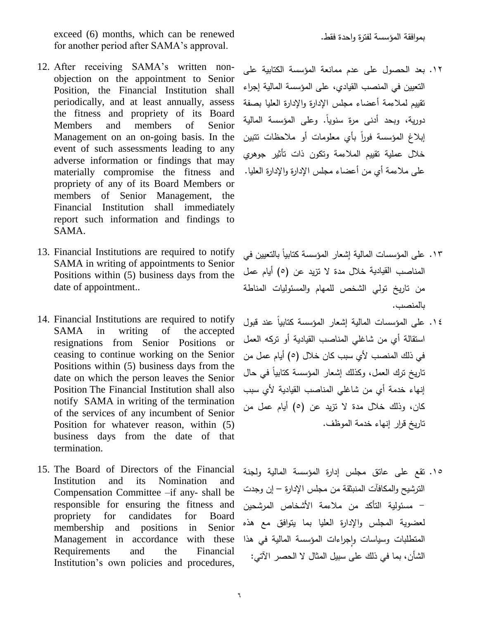.فقط كاحدة لفترة المؤسسة بمكافقة exceed (6) months, which can be renewed for another period after SAMA's approval.

- 12. After receiving SAMA's written nonobjection on the appointment to Senior Position, the Financial Institution shall periodically, and at least annually, assess the fitness and propriety of its Board Members and members of Senior Management on an on-going basis. In the event of such assessments leading to any adverse information or findings that may materially compromise the fitness and propriety of any of its Board Members or members of Senior Management, the Financial Institution shall immediately report such information and findings to SAMA.
- 13. Financial Institutions are required to notify SAMA in writing of appointments to Senior Positions within (5) business days from the date of appointment..
- 14. Financial Institutions are required to notify SAMA in writing of the accepted resignations from Senior Positions or ceasing to continue working on the Senior Positions within (5) business days from the date on which the person leaves the Senior Position The Financial Institution shall also notify SAMA in writing of the termination of the services of any incumbent of Senior Position for whatever reason, within (5) business days from the date of that termination.
- 15. The Board of Directors of the Financial Institution and its Nomination and Compensation Committee –if any- shall be responsible for ensuring the fitness and propriety for candidates for Board membership and positions in Senior Management in accordance with these Requirements and the Financial Institution's own policies and procedures,

١٢. بعد الحصول على عدم ممانعة المؤسسة الكتابية على التعييف في المنصب القيادم، عمى المؤسسة المالية إجراء تقييم لملاءمة أعضاء مجلس الإدارة والإدارة العليا بصفة دورية، وبحد أدنى مرة سنوياً. وعلى المؤسسة المالية إبلاغ المؤسسة فوراً بأي معلومات أو ملاحظات نتبين خلال عملية تقييم الملاءمة وتكون ذات تأثير جوهري على ملاءمة أي من أعضاء مجلس الإدارة والإدارة العليا.

- ١٣. على المؤسسات المالية إشعار المؤسسة كتابياً بالتعيين في المناصب القيادية خلال مدة لا تزيد عن (٥) أيام عمل من تاريخ تولي الشخص للمهام والمسئوليات المناطة بالمنصب.
- ١٤. على المؤسسات المالية إشعار المؤسسة كتابياً عند قبول استقالة أي من شاغلي المناصب القيادية أو تركه العمل في ذلك المنصب لأي سبب كان خلال (٥) أيام عمل من تاريخ ترك العمل، وكذلك إشعار المؤسسة كتابياً في حال إنهاء خدمة أى من شاغلي المناصب القيادية لأى سبب كان، وذلك خلال مدة لا تزيد عن (٥) أيام عمل من تاريخ قرار إنهاء خدمة الموظف.
- 10. تقع على عاتق مجلس إدارة المؤسسة المالية ولجنة الترشيح والمكافآت المنبثقة من مجلس الإدارة – إن وجدت - مسئكلية التأكد مف مالءمة األشخاص المرشحيف لعضوية المجلس والإدارة العليا بما يتوافق مع هذه المتطلبات وسياسات وإجراءات المؤسسة المالية في هذا  $\frac{1}{2}$ الشأن، بما في ذلك على سبيل المثال لا الحصر الآتي: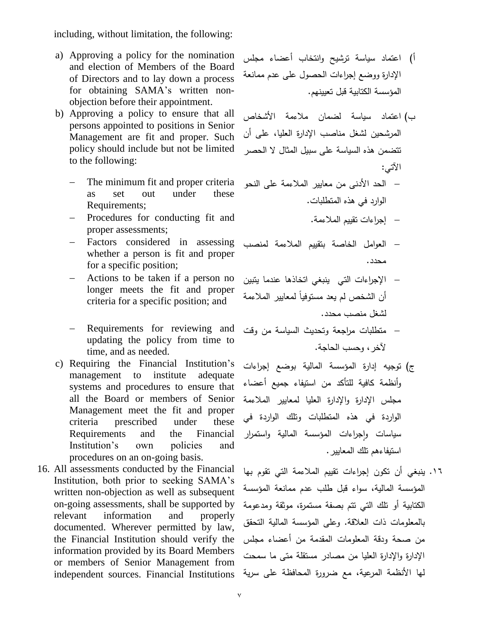including, without limitation, the following:

- a) Approving a policy for the nomination and election of Members of the Board of Directors and to lay down a process for obtaining SAMA's written nonobjection before their appointment.
- b) Approving a policy to ensure that all persons appointed to positions in Senior Management are fit and proper. Such policy should include but not be limited to the following:
	- The minimum fit and proper criteria as set out under these Requirements;
	- Procedures for conducting fit and .المالءمة تقييـ إجراءات proper assessments;
	- Factors considered in assessing whether a person is fit and proper for a specific position;
	- Actions to be taken if a person no longer meets the fit and proper criteria for a specific position; and
	- Requirements for reviewing and updating the policy from time to time, and as needed.
- c) Requiring the Financial Institution's management to institute adequate systems and procedures to ensure that all the Board or members of Senior Management meet the fit and proper criteria prescribed under these Requirements and the Financial Institution's own policies and procedures on an on-going basis.
- 16. All assessments conducted by the Financial Institution, both prior to seeking SAMA's written non-objection as well as subsequent on-going assessments, shall be supported by relevant information and properly documented. Wherever permitted by law, the Financial Institution should verify the information provided by its Board Members or members of Senior Management from
- أ) اعتماد سياسة ترشيح وانتخاب أعضاء مجلس الإدارة ووضع إجراءات الحصول على عدم ممانعة المؤسسة الكتابية قبل تعبينهم.
- ب( اعتماد سياسة لضماف مالءمة األشخاص المرشحين لشغل مناصب الإدارة العليا، على أن تتضمن هذه السياسة على سبيل المثال لا الحصر اآلتي:
- الحد الأدنى من معايير الملاءمة على النحو الوارد في هذه المتطلبات.
	-
- العوامل الخاصة بتقييم الملاءمة لمنصب محدد.
- اإلجراءات التي ينبغي اتخاذىا عندما يتبيف أن الشخص لم يعد مستوفياً لمعايير الملاءمة لشغل منصب محدد.
- متطلبات مراجعة وتحديث السياسة من وقت لآخر ، وحسب الحاجة.
- ج) توجيه إدارة المؤسسة المالية بوضع إجراءات كأنظمة كافية لمتأكد مف استيفاء جميع أعضاء مجلس الإدارة والإدارة العليا لمعايير الملاءمة الواردة في هذه المتطلبات وتلك الواردة في سياسات وإجراءات المؤسسة المالية واستمرار استيفاءهم نلك المعايير .
- ١٦. ينبغي أن تكون إجراءات تقييم الملاءمة التي تقوم بها المؤسسة المالية، سواء قبل طلب عدم ممانعة المؤسسة الكتابية أو تلك التي تتم بصفة مستمرة، موثقة ومدعومة بالمعلومات ذات العلاقة. وعلى المؤسسة المالية التحقق من صحة ودقة المعلومات المقدمة من أعضاء مجلس الإدارة والإدارة العليا من مصادر مستقلة متى ما سمحت ليا األنظمة المرعية، مع ضركرة المحافظة عمى سرية independent sources. Financial Institutions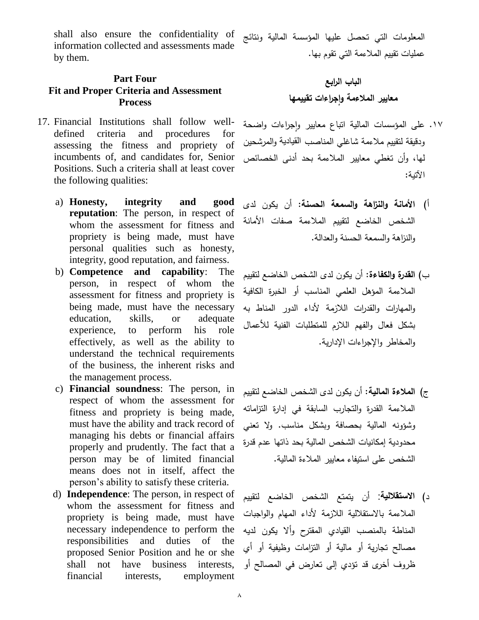shall also ensure the confidentiality of information collected and assessments made by them.

### **Part Four Fit and Proper Criteria and Assessment Process**

- 17. Financial Institutions shall follow welldefined criteria and procedures for assessing the fitness and propriety of incumbents of, and candidates for, Senior Positions. Such a criteria shall at least cover the following qualities:
	- a) **Honesty, integrity and good reputation**: The person, in respect of whom the assessment for fitness and propriety is being made, must have personal qualities such as honesty, integrity, good reputation, and fairness.
	- b) **Competence and capability**: The person, in respect of whom the assessment for fitness and propriety is being made, must have the necessary education, skills, or adequate experience, to perform his role effectively, as well as the ability to understand the technical requirements of the business, the inherent risks and the management process.
	- c) **Financial soundness**: The person, in respect of whom the assessment for fitness and propriety is being made, must have the ability and track record of managing his debts or financial affairs properly and prudently. The fact that a person may be of limited financial means does not in itself, affect the person's ability to satisfy these criteria.
	- d) **Independence**: The person, in respect of whom the assessment for fitness and propriety is being made, must have necessary independence to perform the responsibilities and duties of the proposed Senior Position and he or she shall not have business interests, financial interests, employment

المعلومات التي تحصل عليها المؤسسة المالية ونتائج عمليات تقييم الملاءمة التي تقوم بها.

**الباب الرابع معايير المالءمة و ج ارءات تقييمها ا**

- ١٧. على المؤسسات المالية اتباع معابير وإجراءات واضحة ودقيقة لتقييم ملاءمة شاغلي المناصب القيادية والمرشحين ليا، كأف تغطي معايير المالءمة بحد أدنى الخصائص اآلتية:
- أ( **األمانة والنزاهة والسمعة الحسنة**: أف يككف لدل الشخص الخاضع لتقييـ المالءمة صفات األمانة والنزاهة والسمعة الحسنة والعدالة.
- ب( **القدرة والكفاءة**: أف يككف لدل الشخص الخاضع لتقييـ الملاءمة المؤهل العلمي المناسب أو الخبرة الكافية والمهارات والقدرات اللازمة لأداء الدور المناط به بشكل فعال والفهم اللازم للمتطلبات الفنية للأعمال والمخاطر والإجراءات الإدارية.
- ج) ا**لملاءة المالية**: أن يكون لدى الشخص الخاضع لتقييم الملاءمة القدرة والتجارب السابقة في إدارة التزاماته وشؤونه المالية بحصافة وبشكل مناسب. ولا تعني محدودية إمكانيات الشخص المالية بحد ذاتها عدم قدرة الشخص عمى استيفاء معايير المالءة المالية.
- د**) الاستقلالية**: أن يتمتع الشخص الخاضع لتقييم الملاءمة بالاستقلالية اللازمة لأداء المهام والواجبات المناطة بالمنصب القيادي المقترح وألا يكون لديه مصالح تجارية أو مالية أو التزامات وظيفية أو أي ظروف أخرى قد تؤدى إلى تعارض في المصالح أو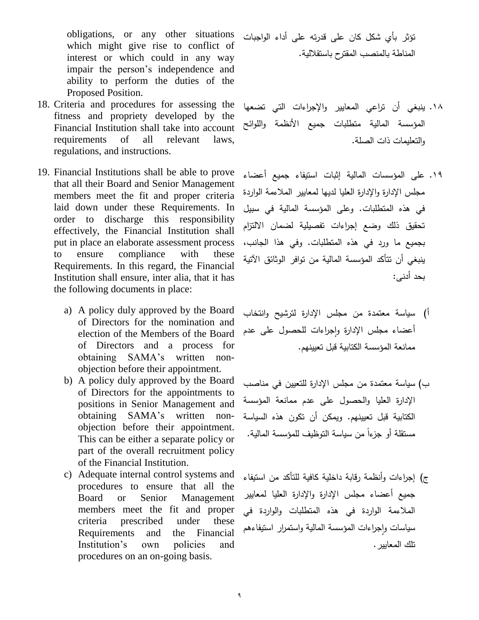obligations, or any other situations which might give rise to conflict of interest or which could in any way impair the person's independence and ability to perform the duties of the Proposed Position.

- 18. Criteria and procedures for assessing the fitness and propriety developed by the Financial Institution shall take into account requirements of all relevant laws, regulations, and instructions.
- 19. Financial Institutions shall be able to prove that all their Board and Senior Management members meet the fit and proper criteria laid down under these Requirements. In order to discharge this responsibility effectively, the Financial Institution shall put in place an elaborate assessment process to ensure compliance with these Requirements. In this regard, the Financial Institution shall ensure, inter alia, that it has the following documents in place:
	- a) A policy duly approved by the Board of Directors for the nomination and election of the Members of the Board of Directors and a process for obtaining SAMA's written nonobjection before their appointment.
	- b) A policy duly approved by the Board of Directors for the appointments to positions in Senior Management and obtaining SAMA's written nonobjection before their appointment. This can be either a separate policy or part of the overall recruitment policy of the Financial Institution.
	- c) Adequate internal control systems and procedures to ensure that all the Board or Senior Management members meet the fit and proper criteria prescribed under these Requirements and the Financial Institution's own policies and procedures on an on-going basis.

تؤثر بأى شكل كان على قدرته على أداء الواجبات المناطة بالمنصب المقترح باستقاللية.

- ١٨. ينبغي أن تراعي المعايير والإجراءات التي تضعها المؤسسة المالية متطلبات جميع الأنظمة واللوائح والتعليمات ذات الصلة.
- .19 عمى المؤسسات المالية إثبات استيفاء جميع أعضاء مجلس الإدارة والإدارة العليا لديها لمعايير الملاءمة الواردة في هذه المتطلبات. وعلى المؤسسة المالية في سبيل تحقيق ذلك وضع إجراءات تفصيلية لضمان الالتزام بجميع ما ورد في هذه المتطلبات. وفي هذا الجانب، ينبغي أن تتأكد المؤسسة المالية من توافر الوثائق الآتية بحد أدنى:
- أ) سياسة معتمدة من مجلس الإدارة لترشيح وانتخاب أعضاء مجلس الإدارة وإجراءات للحصول على عدم  $\frac{1}{2}$ ممانعة المؤسسة الكتابية قبل تعيينهم.
- ب) سياسة معتمدة من مجلس الإدارة للتعيين في مناصب الإدارة العليا والحصول على عدم ممانعة المؤسسة الكتابية قبل تعيينهم. ويمكن أن تكون هذه السياسة مستقلة أو جزءا من سياسة التوظيف للمؤسسة المالية.
- ج) إجراءات وأنظمة رقابة داخلية كافية للتأكد من استيفاء جميع أعضاء مجلس الإدارة والإدارة العليا لمعايير الملاءمة الواردة في هذه المتطلبات والواردة في سياسات وإجراءات المؤسسة المالية واستمرار استيفاءهم تلك المعابير .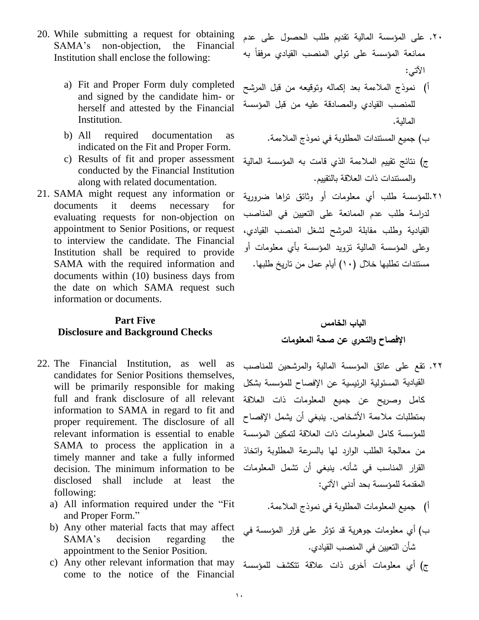- 20. While submitting a request for obtaining SAMA's non-objection, the Financial Institution shall enclose the following:
	- a) Fit and Proper Form duly completed and signed by the candidate him- or herself and attested by the Financial Institution.
	- ب( جميع المستندات المطمكبة في نمكذج المالءمة. as documentation required All) b indicated on the Fit and Proper Form.
	- c) Results of fit and proper assessment conducted by the Financial Institution along with related documentation.
- 21. SAMA might request any information or documents it deems necessary for evaluating requests for non-objection on appointment to Senior Positions, or request to interview the candidate. The Financial Institution shall be required to provide SAMA with the required information and documents within (10) business days from the date on which SAMA request such information or documents.

### **Part Five Disclosure and Background Checks**

- 22. The Financial Institution, as well as candidates for Senior Positions themselves, will be primarily responsible for making full and frank disclosure of all relevant information to SAMA in regard to fit and proper requirement. The disclosure of all relevant information is essential to enable SAMA to process the application in a timely manner and take a fully informed decision. The minimum information to be disclosed shall include at least the following:
	- a) All information required under the "Fit and Proper Form."
	- b) Any other material facts that may affect SAMA's decision regarding the appointment to the Senior Position.
	- come to the notice of the Financial
- ٢٠. على المؤسسة المالية تقديم طلب الحصول على عدم ممانعة المؤسسة على تولي المنصب القيادي مرفقاً به اآلتي:
- أ) نموذج الملاءمة بعد إكماله وتوقيعه من قبل المرشح للمنصب القيادى والمصادقة عليه من قبل المؤسسة المالية.
	-
- ج) نتائج تقييم الملاءمة الذي قامت به المؤسسة المالية كالمستندات ذات العالقة بالتقييـ.
- .<br>21.المؤسسة طلب أي معلومات أو وثائق تراها ضرورية لدراسة طلب عدم الممانعة على التعيين في المناصب القيادية وطلب مقابلة المرشح لشغل المنصب القيادي، وعلى المؤسسة المالية تزويد المؤسسة بأى معلومات أو مستندات تطلبها خلال (١٠) أيام عمل من تاريخ طلبها.

# **الباب الخامس اإلفصاح والتحري عن صحة المعمومات**

- ٢٢. تقع على عاتق المؤسسة المالية والمرشحين للمناصب القيادية المسئولية الرئيسية عن الإفصاح للمؤسسة بشكل كامل وصريح عن جميع المعلومات ذات العلاقة بمنطلبات ملاءمة الأشخاص. ينبغي أن يشمل الإفصاح للمؤسسة كامل المعلومات ذات العلاقة لتمكين المؤسسة من معالجة الطلب الوارد لها بالسرعة المطلوبة واتخاذ القرار المناسب في شأنه. ينبغي أن تشمل المعلومات المقدمة لممؤسسة بحد أدنى اآلتي:
	- أ) جميع المعلومات المطلوبة في نموذج الملاءمة.
- ب) أي معلومات جوهرية قد تؤثر على قرار المؤسسة في شأف التعييف في المنصب القيادم.
- ج) أي معلومات أخرى ذات علاقة تتكشف للمؤسسة c) Any other relevant information that may